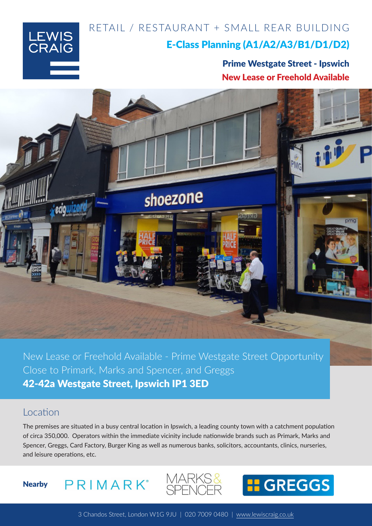RETAIL / RESTAURANT + SMALL REAR BUILDING



### E-Class Planning (A1/A2/A3/B1/D1/D2)

Prime Westgate Street - Ipswich New Lease or Freehold Available



New Lease or Freehold Available - Prime Westgate Street Opportunity Close to Primark, Marks and Spencer, and Greggs 42-42a Westgate Street, Ipswich IP1 3ED

#### **Location**

The premises are situated in a busy central location in Ipswich, a leading county town with a catchment population of circa 350,000. Operators within the immediate vicinity include nationwide brands such as Primark, Marks and Spencer, Greggs, Card Factory, Burger King as well as numerous banks, solicitors, accountants, clinics, nurseries, and leisure operations, etc.







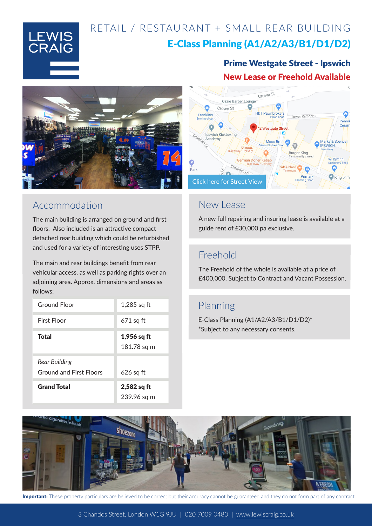# RETAIL / RESTAURANT + SMALL REAR BUILDING



### E-Class Planning (A1/A2/A3/B1/D1/D2)





## Accommodation

The main building is arranged on ground and first floors. Also included is an attractive compact detached rear building which could be refurbished and used for a variety of interesting uses STPP.

The main and rear buildings benefit from rear vehicular access, as well as parking rights over an adjoining area. Approx. dimensions and areas as follows:

| <b>Ground Floor</b>                             | $1,285$ sq ft                |
|-------------------------------------------------|------------------------------|
| First Floor                                     | $671$ sq ft                  |
| Total                                           | $1,956$ sq ft<br>181.78 sq m |
| Rear Building<br><b>Ground and First Floors</b> | 626 sq ft                    |
| <b>Grand Total</b>                              | $2,582$ sq ft<br>239.96 sq m |



### New Lease

A new full repairing and insuring lease is available at a guide rent of £30,000 pa exclusive.

### Freehold

The Freehold of the whole is available at a price of £400,000. Subject to Contract and Vacant Possession.

## Planning

E-Class Planning (A1/A2/A3/B1/D1/D2)\* \*Subject to any necessary consents.



Important: These property particulars are believed to be correct but their accuracy cannot be guaranteed and they do not form part of any contract.